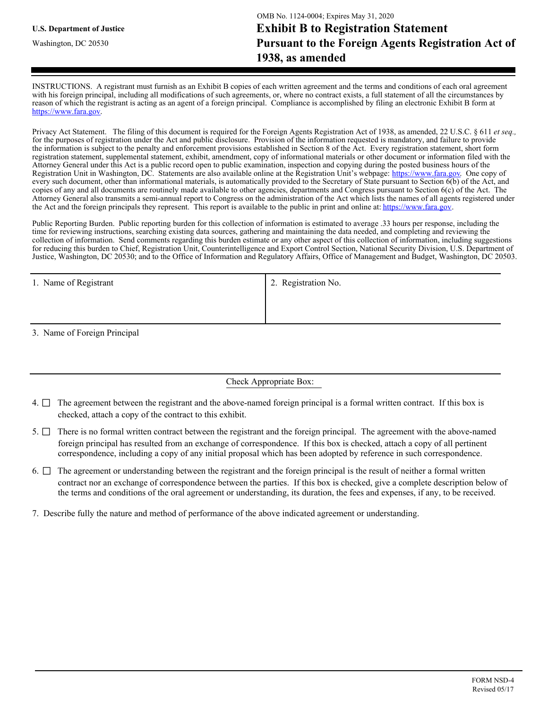INSTRUCTIONS. A registrant must furnish as an Exhibit B copies of each written agreement and the terms and conditions of each oral agreement with his foreign principal, including all modifications of such agreements, or, where no contract exists, a full statement of all the circumstances by reason of which the registrant is acting as an agent of a foreign principal. Compliance is accomplished by filing an electronic Exhibit B form at https://www.fara.gov.

Privacy Act Statement. The filing of this document is required for the Foreign Agents Registration Act of 1938, as amended, 22 U.S.C. § 611 *et seq.,*  for the purposes of registration under the Act and public disclosure. Provision of the information requested is mandatory, and failure to provide the information is subject to the penalty and enforcement provisions established in Section 8 of the Act. Every registration statement, short form registration statement, supplemental statement, exhibit, amendment, copy of informational materials or other document or information filed with the Attorney General under this Act is a public record open to public examination, inspection and copying during the posted business hours of the Registration Unit in Washington, DC. Statements are also available online at the Registration Unit's webpage: https://www.fara.gov. One copy of every such document, other than informational materials, is automatically provided to the Secretary of State pursuant to Section 6(b) of the Act, and copies of any and all documents are routinely made available to other agencies, departments and Congress pursuant to Section 6(c) of the Act. The Attorney General also transmits a semi-annual report to Congress on the administration of the Act which lists the names of all agents registered under the Act and the foreign principals they represent. This report is available to the public in print and online at: https://www.fara.gov.

Public Reporting Burden. Public reporting burden for this collection of information is estimated to average .33 hours per response, including the time for reviewing instructions, searching existing data sources, gathering and maintaining the data needed, and completing and reviewing the collection of information. Send comments regarding this burden estimate or any other aspect of this collection of information, including suggestions for reducing this burden to Chief, Registration Unit, Counterintelligence and Export Control Section, National Security Division, U.S. Department of Justice, Washington, DC 20530; and to the Office of Information and Regulatory Affairs, Office of Management and Budget, Washington, DC 20503.

| 1. Name of Registrant | 2. Registration No. |
|-----------------------|---------------------|
|                       |                     |
|                       |                     |

3. Name of Foreign Principal

## Check Appropriate Box:

- 4.  $\Box$  The agreement between the registrant and the above-named foreign principal is a formal written contract. If this box is checked, attach a copy of the contract to this exhibit.
- 5.  $\Box$  There is no formal written contract between the registrant and the foreign principal. The agreement with the above-named foreign principal has resulted from an exchange of correspondence. If this box is checked, attach a copy of all pertinent correspondence, including a copy of any initial proposal which has been adopted by reference in such correspondence.
- 6.  $\Box$  The agreement or understanding between the registrant and the foreign principal is the result of neither a formal written contract nor an exchange of correspondence between the parties. If this box is checked, give a complete description below of the terms and conditions of the oral agreement or understanding, its duration, the fees and expenses, if any, to be received.
- 7. Describe fully the nature and method of performance of the above indicated agreement or understanding.